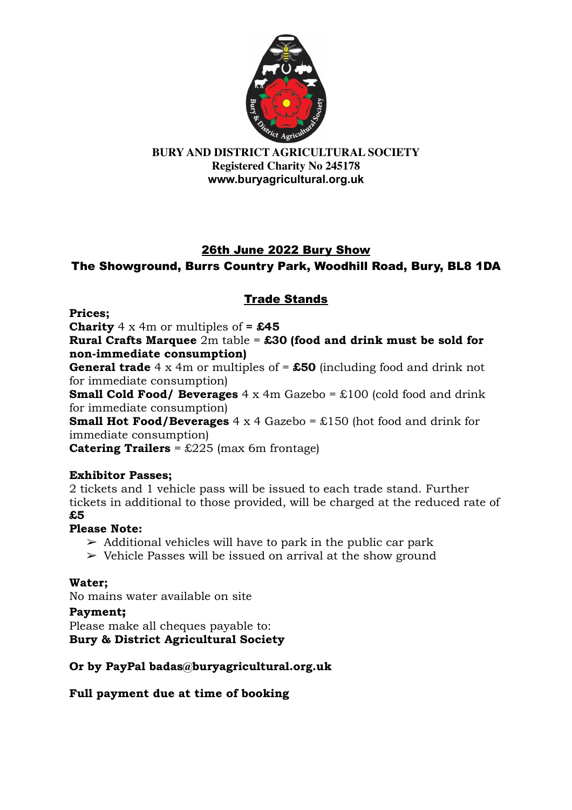

## 26th June 2022 Bury Show The Showground, Burrs Country Park, Woodhill Road, Bury, BL8 1DA

## Trade Stands

**Prices;**

**Charity** 4 x 4m or multiples of  $=$  £45

**Rural Crafts Marquee** 2m table = **£30 (food and drink must be sold for non-immediate consumption)**

**General trade** 4 x 4m or multiples of = **£50** (including food and drink not for immediate consumption)

**Small Cold Food/ Beverages** 4 x 4m Gazebo = £100 (cold food and drink for immediate consumption)

**Small Hot Food/Beverages** 4 x 4 Gazebo = £150 (hot food and drink for immediate consumption)

**Catering Trailers** = £225 (max 6m frontage)

### **Exhibitor Passes;**

2 tickets and 1 vehicle pass will be issued to each trade stand. Further tickets in additional to those provided, will be charged at the reduced rate of **£5**

### **Please Note:**

- $\triangleright$  Additional vehicles will have to park in the public car park
- $\geq$  Vehicle Passes will be issued on arrival at the show ground

## **Water;**

No mains water available on site

### **Payment**;

Please make all cheques payable to: **Bury & District Agricultural Society**

## **Or by PayPal badas@buryagricultural.org.uk**

**Full payment due at time of booking**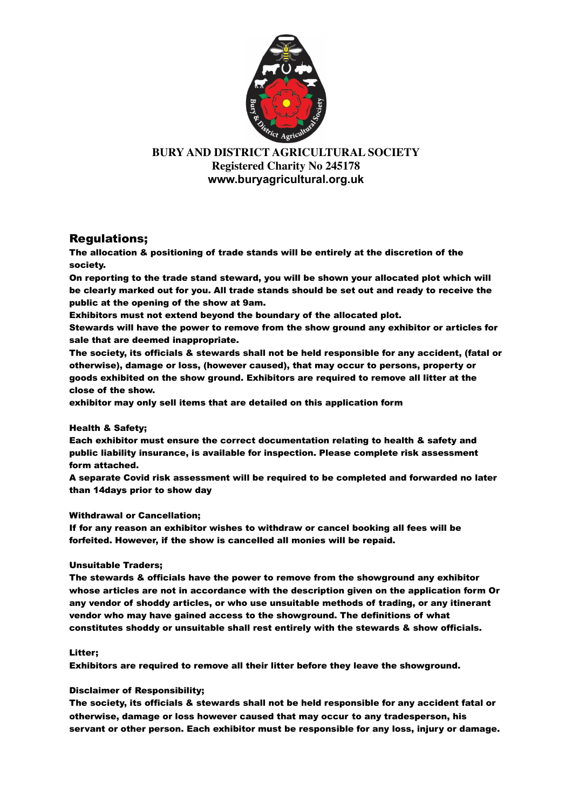

### Regulations;

The allocation & positioning of trade stands will be entirely at the discretion of the society.

On reporting to the trade stand steward, you will be shown your allocated plot which will be clearly marked out for you. All trade stands should be set out and ready to receive the public at the opening of the show at 9am.

Exhibitors must not extend beyond the boundary of the allocated plot.

Stewards will have the power to remove from the show ground any exhibitor or articles for sale that are deemed inappropriate.

The society, its officials & stewards shall not be held responsible for any accident, (fatal or otherwise), damage or loss, (however caused), that may occur to persons, property or goods exhibited on the show ground. Exhibitors are required to remove all litter at the close of the show.

exhibitor may only sell items that are detailed on this application form

#### Health & Safety;

Each exhibitor must ensure the correct documentation relating to health & safety and public liability insurance, is available for inspection. Please complete risk assessment form attached.

A separate Covid risk assessment will be required to be completed and forwarded no later than 14days prior to show day

#### Withdrawal or Cancellation;

If for any reason an exhibitor wishes to withdraw or cancel booking all fees will be forfeited. However, if the show is cancelled all monies will be repaid.

#### Unsuitable Traders;

The stewards & officials have the power to remove from the showground any exhibitor whose articles are not in accordance with the description given on the application form Or any vendor of shoddy articles, or who use unsuitable methods of trading, or any itinerant vendor who may have gained access to the showground. The definitions of what constitutes shoddy or unsuitable shall rest entirely with the stewards & show officials.

#### Litter;

Exhibitors are required to remove all their litter before they leave the showground.

#### Disclaimer of Responsibility;

The society, its officials & stewards shall not be held responsible for any accident fatal or otherwise, damage or loss however caused that may occur to any tradesperson, his servant or other person. Each exhibitor must be responsible for any loss, injury or damage.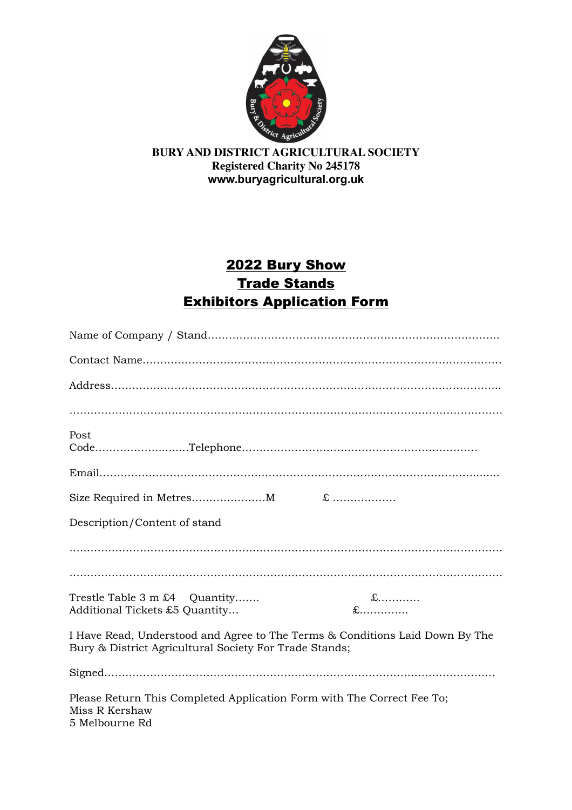

# 2022 Bury Show **Trade Stands** Exhibitors Application Form

| Post                                                                                                                                   |                        |
|----------------------------------------------------------------------------------------------------------------------------------------|------------------------|
|                                                                                                                                        |                        |
|                                                                                                                                        |                        |
| Description/Content of stand                                                                                                           |                        |
|                                                                                                                                        |                        |
|                                                                                                                                        |                        |
| Trestle Table 3 m £4 Quantity<br>Additional Tickets £5 Quantity                                                                        | $\pounds$<br>$\pounds$ |
| I Have Read, Understood and Agree to The Terms & Conditions Laid Down By The<br>Bury & District Agricultural Society For Trade Stands; |                        |
|                                                                                                                                        |                        |
| Please Return This Completed Application Form with The Correct Fee To;<br>Miss R Kershaw<br>5 Melbourne Rd                             |                        |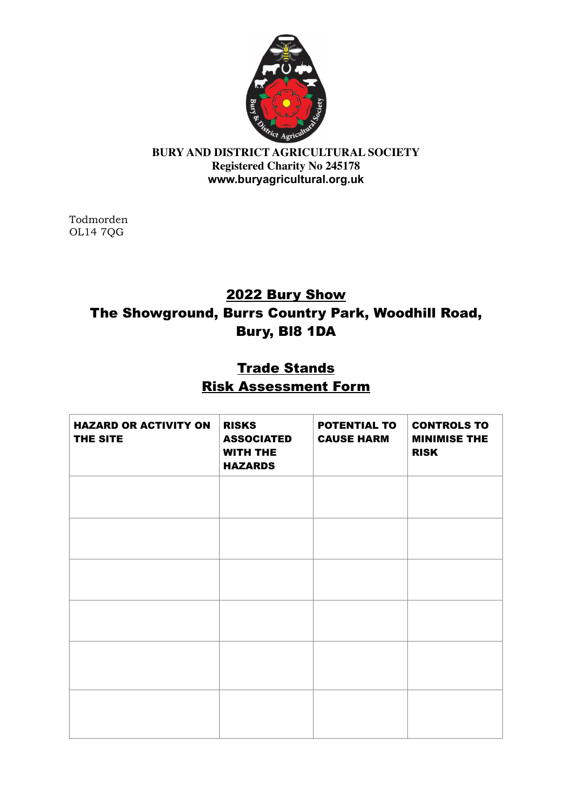

Todmorden OL14 7QG

# 2022 Bury Show The Showground, Burrs Country Park, Woodhill Road, Bury, Bl8 1DA

# **Trade Stands** Risk Assessment Form

| <b>HAZARD OR ACTIVITY ON</b><br>THE SITE | <b>RISKS</b><br><b>ASSOCIATED</b><br><b>WITH THE</b><br><b>HAZARDS</b> | <b>POTENTIAL TO</b><br><b>CAUSE HARM</b> | <b>CONTROLS TO</b><br><b>MINIMISE THE</b><br><b>RISK</b> |
|------------------------------------------|------------------------------------------------------------------------|------------------------------------------|----------------------------------------------------------|
|                                          |                                                                        |                                          |                                                          |
|                                          |                                                                        |                                          |                                                          |
|                                          |                                                                        |                                          |                                                          |
|                                          |                                                                        |                                          |                                                          |
|                                          |                                                                        |                                          |                                                          |
|                                          |                                                                        |                                          |                                                          |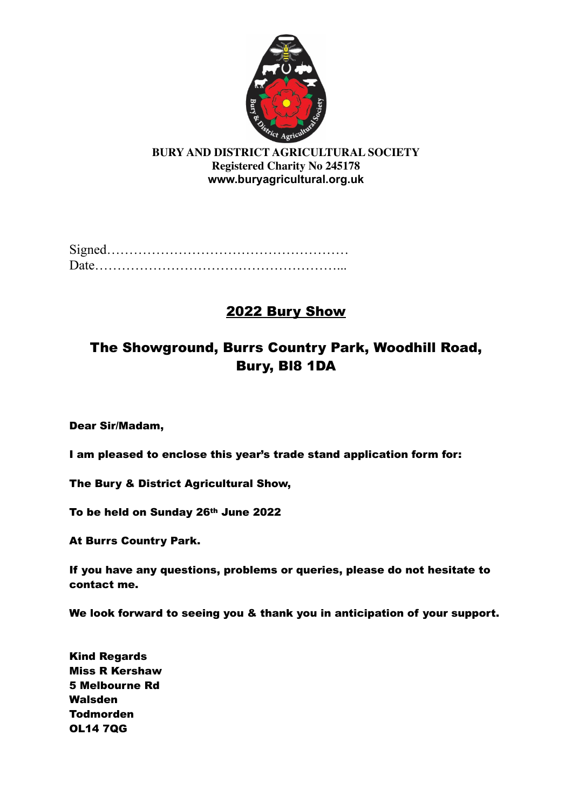

Signed……………………………………………… Date………………………………………………...

# 2022 Bury Show

# The Showground, Burrs Country Park, Woodhill Road, Bury, Bl8 1DA

Dear Sir/Madam,

I am pleased to enclose this year's trade stand application form for:

The Bury & District Agricultural Show,

To be held on Sunday 26th June 2022

At Burrs Country Park.

If you have any questions, problems or queries, please do not hesitate to contact me.

We look forward to seeing you & thank you in anticipation of your support.

Kind Regards Miss R Kershaw 5 Melbourne Rd Walsden Todmorden OL14 7QG